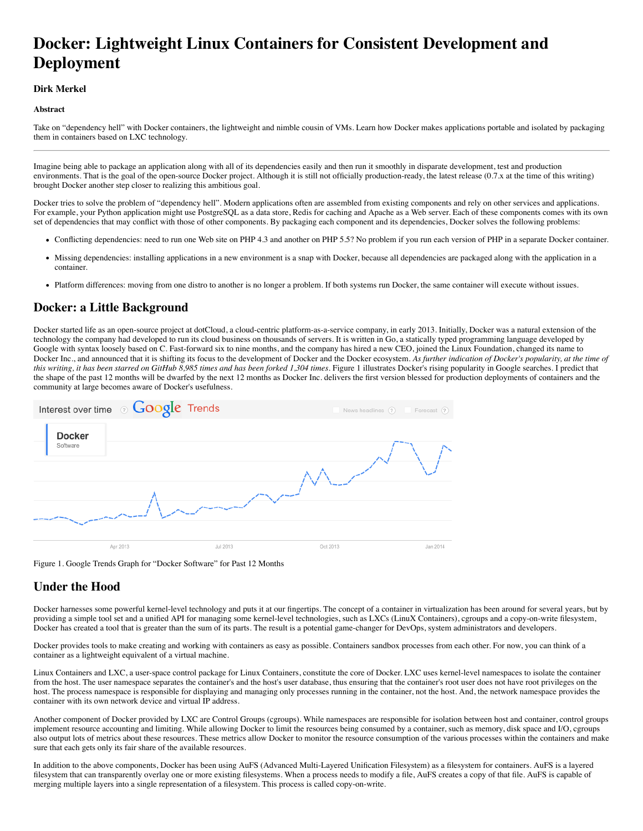# **Docker: Lightweight Linux Containers for Consistent Development and Deployment**

### **Dirk Merkel**

### **Abstract**

Take on "dependency hell" with Docker containers, the lightweight and nimble cousin of VMs. Learn how Docker makes applications portable and isolated by packaging them in containers based on LXC technology.

Imagine being able to package an application along with all of its dependencies easily and then run it smoothly in disparate development, test and production environments. That is the goal of the open-source Docker project. Although it is still not officially production-ready, the latest release (0.7.x at the time of this writing) brought Docker another step closer to realizing this ambitious goal.

Docker tries to solve the problem of "dependency hell". Modern applications often are assembled from existing components and rely on other services and applications. For example, your Python application might use PostgreSQL as a data store, Redis for caching and Apache as a Web server. Each of these components comes with its own set of dependencies that may conflict with those of other components. By packaging each component and its dependencies, Docker solves the following problems:

- Conflicting dependencies: need to run one Web site on PHP 4.3 and another on PHP 5.5? No problem if you run each version of PHP in a separate Docker container.
- Missing dependencies: installing applications in a new environment is a snap with Docker, because all dependencies are packaged along with the application in a container.
- Platform differences: moving from one distro to another is no longer a problem. If both systems run Docker, the same container will execute without issues.

### **Docker: a Little Background**

Docker started life as an open-source project at dotCloud, a cloud-centric platform-as-a-service company, in early 2013. Initially, Docker was a natural extension of the technology the company had developed to run its cloud business on thousands of servers. It is written in Go, a statically typed programming language developed by Google with syntax loosely based on C. Fast-forward six to nine months, and the company has hired a new CEO, joined the Linux Foundation, changed its name to Docker Inc., and announced that it is shifting its focus to the development of Docker and the Docker ecosystem. *As further indication of Docker's popularity, at the time of this writing, it has been starred on GitHub 8,985 times and has been forked 1,304 times.* Figure 1 illustrates Docker's rising popularity in Google searches. I predict that the shape of the past 12 months will be dwarfed by the next 12 months as Docker Inc. delivers the first version blessed for production deployments of containers and the community at large becomes aware of Docker's usefulness.



Figure 1. Google Trends Graph for "Docker Software" for Past 12 Months

### **Under the Hood**

Docker harnesses some powerful kernel-level technology and puts it at our fingertips. The concept of a container in virtualization has been around for several years, but by providing a simple tool set and a unified API for managing some kernel-level technologies, such as LXCs (LinuX Containers), cgroups and a copy-on-write filesystem, Docker has created a tool that is greater than the sum of its parts. The result is a potential game-changer for DevOps, system administrators and developers.

Docker provides tools to make creating and working with containers as easy as possible. Containers sandbox processes from each other. For now, you can think of a container as a lightweight equivalent of a virtual machine.

Linux Containers and LXC, a user-space control package for Linux Containers, constitute the core of Docker. LXC uses kernel-level namespaces to isolate the container from the host. The user namespace separates the container's and the host's user database, thus ensuring that the container's root user does not have root privileges on the host. The process namespace is responsible for displaying and managing only processes running in the container, not the host. And, the network namespace provides the container with its own network device and virtual IP address.

Another component of Docker provided by LXC are Control Groups (cgroups). While namespaces are responsible for isolation between host and container, control groups implement resource accounting and limiting. While allowing Docker to limit the resources being consumed by a container, such as memory, disk space and I/O, cgroups also output lots of metrics about these resources. These metrics allow Docker to monitor the resource consumption of the various processes within the containers and make sure that each gets only its fair share of the available resources.

In addition to the above components, Docker has been using AuFS (Advanced Multi-Layered Unification Filesystem) as a filesystem for containers. AuFS is a layered filesystem that can transparently overlay one or more existing filesystems. When a process needs to modify a file, AuFS creates a copy of that file. AuFS is capable of merging multiple layers into a single representation of a filesystem. This process is called copy-on-write.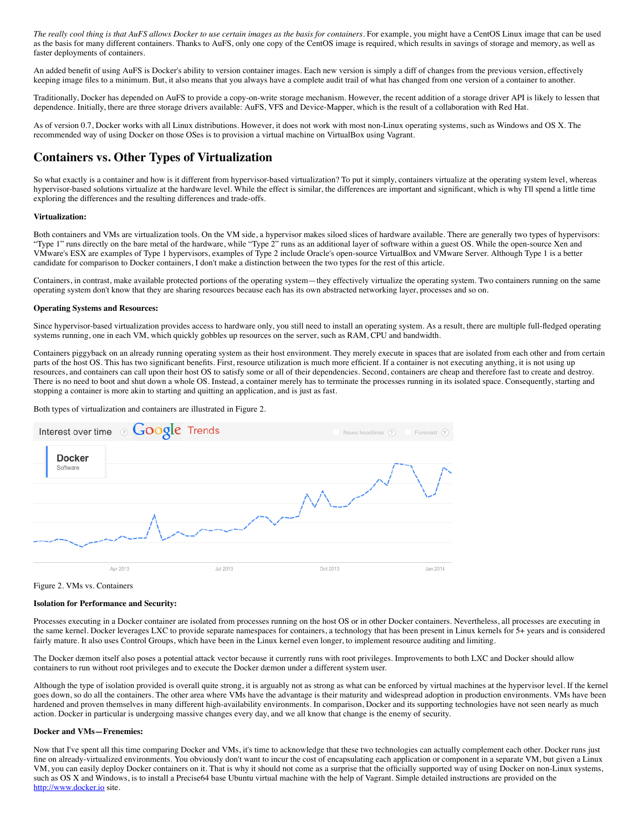*The really cool thing is that AuFS allows Docker to use certain images as the basis for containers.* For example, you might have a CentOS Linux image that can be used as the basis for many different containers. Thanks to AuFS, only one copy of the CentOS image is required, which results in savings of storage and memory, as well as faster deployments of containers.

An added benefit of using AuFS is Docker's ability to version container images. Each new version is simply a diff of changes from the previous version, effectively keeping image files to a minimum. But, it also means that you always have a complete audit trail of what has changed from one version of a container to another.

Traditionally, Docker has depended on AuFS to provide a copy-on-write storage mechanism. However, the recent addition of a storage driver API is likely to lessen that dependence. Initially, there are three storage drivers available: AuFS, VFS and Device-Mapper, which is the result of a collaboration with Red Hat.

As of version 0.7, Docker works with all Linux distributions. However, it does not work with most non-Linux operating systems, such as Windows and OS X. The recommended way of using Docker on those OSes is to provision a virtual machine on VirtualBox using Vagrant.

# **Containers vs. Other Types of Virtualization**

So what exactly is a container and how is it different from hypervisor-based virtualization? To put it simply, containers virtualize at the operating system level, whereas hypervisor-based solutions virtualize at the hardware level. While the effect is similar, the differences are important and significant, which is why I'll spend a little time exploring the differences and the resulting differences and trade-offs.

### **Virtualization:**

Both containers and VMs are virtualization tools. On the VM side, a hypervisor makes siloed slices of hardware available. There are generally two types of hypervisors: "Type 1" runs directly on the bare metal of the hardware, while "Type 2" runs as an additional layer of software within a guest OS. While the open-source Xen and VMware's ESX are examples of Type 1 hypervisors, examples of Type 2 include Oracle's open-source VirtualBox and VMware Server. Although Type 1 is a better candidate for comparison to Docker containers, I don't make a distinction between the two types for the rest of this article.

Containers, in contrast, make available protected portions of the operating system—they effectively virtualize the operating system. Two containers running on the same operating system don't know that they are sharing resources because each has its own abstracted networking layer, processes and so on.

### **Operating Systems and Resources:**

Since hypervisor-based virtualization provides access to hardware only, you still need to install an operating system. As a result, there are multiple full-fledged operating systems running, one in each VM, which quickly gobbles up resources on the server, such as RAM, CPU and bandwidth.

Containers piggyback on an already running operating system as their host environment. They merely execute in spaces that are isolated from each other and from certain parts of the host OS. This has two significant benefits. First, resource utilization is much more efficient. If a container is not executing anything, it is not using up resources, and containers can call upon their host OS to satisfy some or all of their dependencies. Second, containers are cheap and therefore fast to create and destroy. There is no need to boot and shut down a whole OS. Instead, a container merely has to terminate the processes running in its isolated space. Consequently, starting and stopping a container is more akin to starting and quitting an application, and is just as fast.

Both types of virtualization and containers are illustrated in Figure 2.

|                           | Interest over time <b>GOOgle</b> Trends |          | News headlines (?) | Forecast (?) |
|---------------------------|-----------------------------------------|----------|--------------------|--------------|
| <b>Docker</b><br>Software |                                         |          |                    |              |
|                           |                                         |          |                    |              |
|                           | Apr 2013                                | Jul 2013 | Oct 2013           | Jan 2014     |

Figure 2. VMs vs. Containers

#### **Isolation for Performance and Security:**

Processes executing in a Docker container are isolated from processes running on the host OS or in other Docker containers. Nevertheless, all processes are executing in the same kernel. Docker leverages LXC to provide separate namespaces for containers, a technology that has been present in Linux kernels for 5+ years and is considered fairly mature. It also uses Control Groups, which have been in the Linux kernel even longer, to implement resource auditing and limiting.

The Docker dæmon itself also poses a potential attack vector because it currently runs with root privileges. Improvements to both LXC and Docker should allow containers to run without root privileges and to execute the Docker dæmon under a different system user.

Although the type of isolation provided is overall quite strong, it is arguably not as strong as what can be enforced by virtual machines at the hypervisor level. If the kernel goes down, so do all the containers. The other area where VMs have the advantage is their maturity and widespread adoption in production environments. VMs have been hardened and proven themselves in many different high-availability environments. In comparison, Docker and its supporting technologies have not seen nearly as much action. Docker in particular is undergoing massive changes every day, and we all know that change is the enemy of security.

### **Docker and VMs—Frenemies:**

Now that I've spent all this time comparing Docker and VMs, it's time to acknowledge that these two technologies can actually complement each other. Docker runs just fine on already-virtualized environments. You obviously don't want to incur the cost of encapsulating each application or component in a separate VM, but given a Linux VM, you can easily deploy Docker containers on it. That is why it should not come as a surprise that the officially supported way of using Docker on non-Linux systems, such as OS X and Windows, is to install a Precise64 base Ubuntu virtual machine with the help of Vagrant. Simple detailed instructions are provided on the [http://www.docker.io](http://www.docker.io/) site.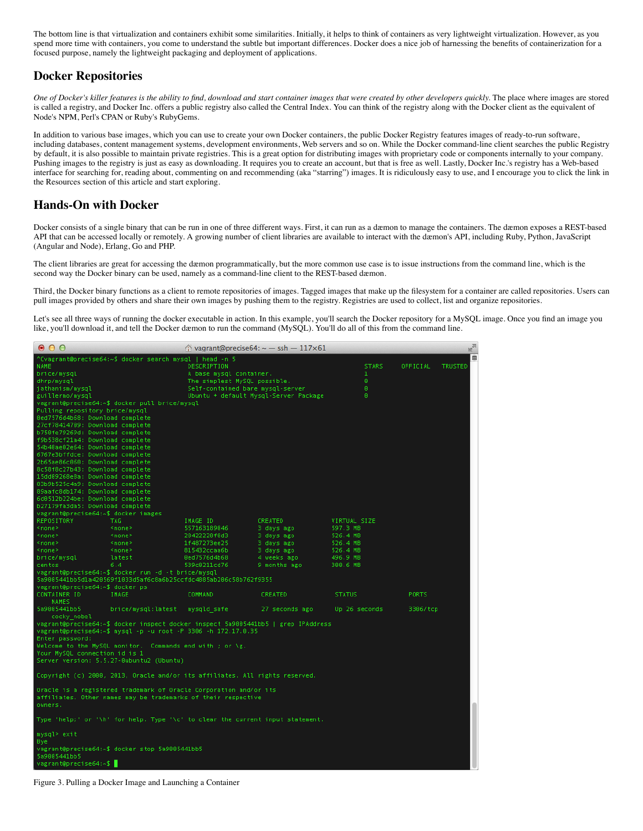The bottom line is that virtualization and containers exhibit some similarities. Initially, it helps to think of containers as very lightweight virtualization. However, as you spend more time with containers, you come to understand the subtle but important differences. Docker does a nice job of harnessing the benefits of containerization for a focused purpose, namely the lightweight packaging and deployment of applications.

# **Docker Repositories**

*One of Docker's killer features is the ability to find, download and start container images that were created by other developers quickly.* The place where images are stored is called a registry, and Docker Inc. offers a public registry also called the Central Index. You can think of the registry along with the Docker client as the equivalent of Node's NPM, Perl's CPAN or Ruby's RubyGems.

In addition to various base images, which you can use to create your own Docker containers, the public Docker Registry features images of ready-to-run software, including databases, content management systems, development environments, Web servers and so on. While the Docker command-line client searches the public Registry by default, it is also possible to maintain private registries. This is a great option for distributing images with proprietary code or components internally to your company. Pushing images to the registry is just as easy as downloading. It requires you to create an account, but that is free as well. Lastly, Docker Inc.'s registry has a Web-based interface for searching for, reading about, commenting on and recommending (aka "starring") images. It is ridiculously easy to use, and I encourage you to click the link in the Resources section of this article and start exploring.

# **Hands-On with Docker**

Docker consists of a single binary that can be run in one of three different ways. First, it can run as a dæmon to manage the containers. The dæmon exposes a REST-based API that can be accessed locally or remotely. A growing number of client libraries are available to interact with the dæmon's API, including Ruby, Python, JavaScript (Angular and Node), Erlang, Go and PHP.

The client libraries are great for accessing the dæmon programmatically, but the more common use case is to issue instructions from the command line, which is the second way the Docker binary can be used, namely as a command-line client to the REST-based dæmon.

Third, the Docker binary functions as a client to remote repositories of images. Tagged images that make up the filesystem for a container are called repositories. Users can pull images provided by others and share their own images by pushing them to the registry. Registries are used to collect, list and organize repositories.

Let's see all three ways of running the docker executable in action. In this example, you'll search the Docker repository for a MySQL image. Once you find an image you like, you'll download it, and tell the Docker dæmon to run the command (MySQL). You'll do all of this from the command line.

| 000                                                                                                                                      |                                                                                   |                                  | $\textcircled{r}$ vagrant@precise64: ~ - ssh - 117×61 |                      | $\mathbf{e}^{\mathbf{e}}$ |  |  |  |  |  |
|------------------------------------------------------------------------------------------------------------------------------------------|-----------------------------------------------------------------------------------|----------------------------------|-------------------------------------------------------|----------------------|---------------------------|--|--|--|--|--|
| ₿<br>^Cvagrant@precise64:~\$ docker search mysql   head -n 5<br>DESCRIPTION<br><b>STARS</b><br>OFFICIAL<br><b>TRUSTED</b><br><b>NAME</b> |                                                                                   |                                  |                                                       |                      |                           |  |  |  |  |  |
| brice/mysql                                                                                                                              |                                                                                   | A base mysql container.          |                                                       | $\mathbf{1}$         |                           |  |  |  |  |  |
| dhrp/mysql                                                                                                                               |                                                                                   | The simplest MySQL possible.     |                                                       | $\theta$             |                           |  |  |  |  |  |
| jathanism/mysql                                                                                                                          |                                                                                   | Self-contained bare mysql-server |                                                       | $\theta$             |                           |  |  |  |  |  |
| guillermo/mysql                                                                                                                          |                                                                                   |                                  | Ubuntu + default Mysql-Server Package                 | $\theta$             |                           |  |  |  |  |  |
| vagrant@precise64:~\$ docker pull brice/mysql                                                                                            |                                                                                   |                                  |                                                       |                      |                           |  |  |  |  |  |
| Pulling repository brice/mysql                                                                                                           |                                                                                   |                                  |                                                       |                      |                           |  |  |  |  |  |
| 0ed7576d4b68: Download complete                                                                                                          |                                                                                   |                                  |                                                       |                      |                           |  |  |  |  |  |
|                                                                                                                                          | 27cf78414709: Download complete                                                   |                                  |                                                       |                      |                           |  |  |  |  |  |
| b750fe79269d: Download complete                                                                                                          |                                                                                   |                                  |                                                       |                      |                           |  |  |  |  |  |
| f9b538cf21a4: Download complete                                                                                                          |                                                                                   |                                  |                                                       |                      |                           |  |  |  |  |  |
|                                                                                                                                          | 54b40ae02e64: Download complete                                                   |                                  |                                                       |                      |                           |  |  |  |  |  |
|                                                                                                                                          | 6767e3bffdce: Download complete                                                   |                                  |                                                       |                      |                           |  |  |  |  |  |
| 2b65ae86c060: Download complete                                                                                                          |                                                                                   |                                  |                                                       |                      |                           |  |  |  |  |  |
| 8c58f8c27b43: Download complete                                                                                                          |                                                                                   |                                  |                                                       |                      |                           |  |  |  |  |  |
|                                                                                                                                          | 15dd09268e8a: Download complete                                                   |                                  |                                                       |                      |                           |  |  |  |  |  |
| 03b9b525c4a9: Download complete                                                                                                          |                                                                                   |                                  |                                                       |                      |                           |  |  |  |  |  |
| 89aafc8db174: Download complete                                                                                                          |                                                                                   |                                  |                                                       |                      |                           |  |  |  |  |  |
| 6d0512b224be: Download complete                                                                                                          |                                                                                   |                                  |                                                       |                      |                           |  |  |  |  |  |
| b27179fa3da5: Download complete                                                                                                          |                                                                                   |                                  |                                                       |                      |                           |  |  |  |  |  |
| vagrant@precise64:~\$ docker images                                                                                                      |                                                                                   |                                  |                                                       |                      |                           |  |  |  |  |  |
| REPOSITORY<br><none></none>                                                                                                              | TAG.                                                                              | IMAGE ID                         | CREATED                                               | VIRTUAL SIZE         |                           |  |  |  |  |  |
| <none></none>                                                                                                                            | <none><br/><none></none></none>                                                   | 557163189046<br>28422220f0d3     | 3 days ago<br>3 days ago                              | 597.3 MB<br>526.4 MB |                           |  |  |  |  |  |
| <none></none>                                                                                                                            | <none></none>                                                                     | 1f487273ee25                     | 3 days ago                                            | 526.4 MB             |                           |  |  |  |  |  |
| <none></none>                                                                                                                            | <none></none>                                                                     | 815432ccaa6b                     | 3 days ago                                            | 526.4 MB             |                           |  |  |  |  |  |
| brice/mysql                                                                                                                              | latest                                                                            | 0ed7576d4b68                     | 4 weeks ago                                           | 496.9 MB             |                           |  |  |  |  |  |
| centos                                                                                                                                   | 6.4                                                                               | 539c0211cd76                     | 9 months ago                                          | 300.6 MB             |                           |  |  |  |  |  |
|                                                                                                                                          | vagrant@precise64:~\$ docker run -d -t brice/mysql                                |                                  |                                                       |                      |                           |  |  |  |  |  |
|                                                                                                                                          |                                                                                   |                                  |                                                       |                      |                           |  |  |  |  |  |
| 5a9005441bb5d1a420569f1033d5af6c8a6b25ccfdc4885ab206c58b762f9355<br>vagrant@precise64:~\$ docker ps                                      |                                                                                   |                                  |                                                       |                      |                           |  |  |  |  |  |
| CONTAINER ID                                                                                                                             | IMAGE                                                                             | <b>COMMAND</b>                   | <b>CREATED</b>                                        | <b>STATUS</b>        | PORTS                     |  |  |  |  |  |
| <b>NAMES</b>                                                                                                                             |                                                                                   |                                  |                                                       |                      |                           |  |  |  |  |  |
| 5a9005441bb5                                                                                                                             | brice/mysql:latest                                                                | mysqld safe                      | 27 seconds ago                                        | Up 26 seconds        | 3306/tcp                  |  |  |  |  |  |
| cocky nobel                                                                                                                              |                                                                                   |                                  |                                                       |                      |                           |  |  |  |  |  |
|                                                                                                                                          | vagrant@precise64:~\$ docker inspect docker inspect 5a9005441bb5   grep IPAddress |                                  |                                                       |                      |                           |  |  |  |  |  |
|                                                                                                                                          | vagrant@precise64:~\$ mysql -p -u root -P 3306 -h 172.17.0.35                     |                                  |                                                       |                      |                           |  |  |  |  |  |
| Enter password:                                                                                                                          |                                                                                   |                                  |                                                       |                      |                           |  |  |  |  |  |
| Welcome to the MySQL monitor. Commands end with ; or $\gtrsim g$ .                                                                       |                                                                                   |                                  |                                                       |                      |                           |  |  |  |  |  |
| Your MySQL connection id is 1                                                                                                            |                                                                                   |                                  |                                                       |                      |                           |  |  |  |  |  |
| Server version: 5.5.27-0ubuntu2 (Ubuntu)                                                                                                 |                                                                                   |                                  |                                                       |                      |                           |  |  |  |  |  |
|                                                                                                                                          |                                                                                   |                                  |                                                       |                      |                           |  |  |  |  |  |
| Copyright (c) 2000, 2013, Oracle and/or its affiliates. All rights reserved.                                                             |                                                                                   |                                  |                                                       |                      |                           |  |  |  |  |  |
|                                                                                                                                          |                                                                                   |                                  |                                                       |                      |                           |  |  |  |  |  |
| Oracle is a registered trademark of Oracle Corporation and/or its                                                                        |                                                                                   |                                  |                                                       |                      |                           |  |  |  |  |  |
| affiliates. Other names may be trademarks of their respective                                                                            |                                                                                   |                                  |                                                       |                      |                           |  |  |  |  |  |
| owners.                                                                                                                                  |                                                                                   |                                  |                                                       |                      |                           |  |  |  |  |  |
| Type 'help;' or '\h' for help. Type '\c' to clear the current input statement.                                                           |                                                                                   |                                  |                                                       |                      |                           |  |  |  |  |  |
|                                                                                                                                          |                                                                                   |                                  |                                                       |                      |                           |  |  |  |  |  |
| mysql> exit                                                                                                                              |                                                                                   |                                  |                                                       |                      |                           |  |  |  |  |  |
| Bye<br>vagrant@precise64:~\$ docker stop 5a9005441bb5                                                                                    |                                                                                   |                                  |                                                       |                      |                           |  |  |  |  |  |
| 5a9005441bb5                                                                                                                             |                                                                                   |                                  |                                                       |                      |                           |  |  |  |  |  |
| vagrant@precise64:~\$                                                                                                                    |                                                                                   |                                  |                                                       |                      |                           |  |  |  |  |  |
|                                                                                                                                          |                                                                                   |                                  |                                                       |                      |                           |  |  |  |  |  |

Figure 3. Pulling a Docker Image and Launching a Container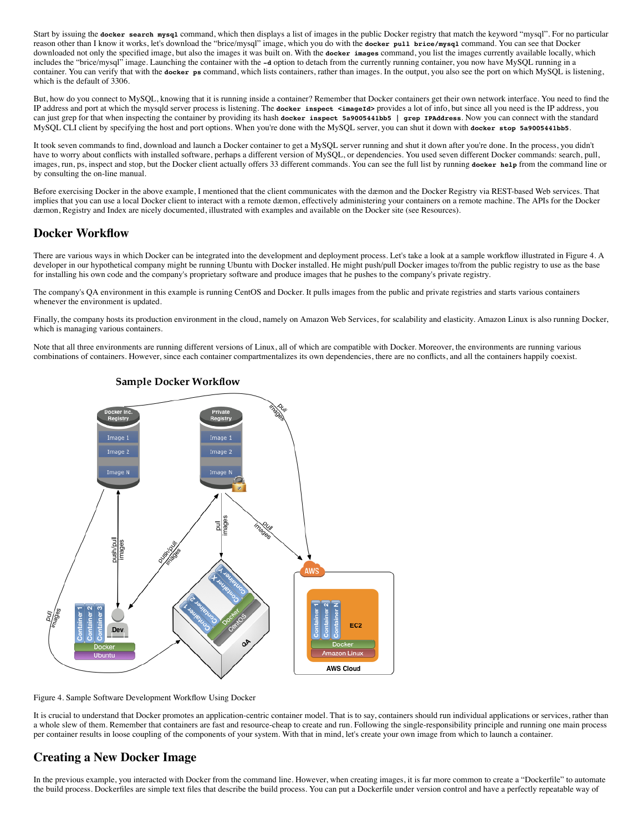Start by issuing the **docker search mysql** command, which then displays a list of images in the public Docker registry that match the keyword "mysql". For no particular reason other than I know it works, let's download the "brice/mysql" image, which you do with the **docker pull brice/mysql** command. You can see that Docker downloaded not only the specified image, but also the images it was built on. With the **docker images** command, you list the images currently available locally, which includes the "brice/mysql" image. Launching the container with the **-d** option to detach from the currently running container, you now have MySQL running in a container. You can verify that with the **docker ps** command, which lists containers, rather than images. In the output, you also see the port on which MySQL is listening, which is the default of 3306.

But, how do you connect to MySQL, knowing that it is running inside a container? Remember that Docker containers get their own network interface. You need to find the IP address and port at which the mysqld server process is listening. The **docker inspect <imageId>** provides a lot of info, but since all you need is the IP address, you can just grep for that when inspecting the container by providing its hash **docker inspect 5a9005441bb5 | grep IPAddress**. Now you can connect with the standard MySQL CLI client by specifying the host and port options. When you're done with the MySQL server, you can shut it down with **docker stop 5a9005441bb5**.

It took seven commands to find, download and launch a Docker container to get a MySQL server running and shut it down after you're done. In the process, you didn't have to worry about conflicts with installed software, perhaps a different version of MySQL, or dependencies. You used seven different Docker commands: search, pull, images, run, ps, inspect and stop, but the Docker client actually offers 33 different commands. You can see the full list by running **docker help** from the command line or by consulting the on-line manual.

Before exercising Docker in the above example, I mentioned that the client communicates with the dæmon and the Docker Registry via REST-based Web services. That implies that you can use a local Docker client to interact with a remote dæmon, effectively administering your containers on a remote machine. The APIs for the Docker dæmon, Registry and Index are nicely documented, illustrated with examples and available on the Docker site (see Resources).

# **Docker Workflow**

There are various ways in which Docker can be integrated into the development and deployment process. Let's take a look at a sample workflow illustrated in Figure 4. A developer in our hypothetical company might be running Ubuntu with Docker installed. He might push/pull Docker images to/from the public registry to use as the base for installing his own code and the company's proprietary software and produce images that he pushes to the company's private registry.

The company's QA environment in this example is running CentOS and Docker. It pulls images from the public and private registries and starts various containers whenever the environment is updated.

Finally, the company hosts its production environment in the cloud, namely on Amazon Web Services, for scalability and elasticity. Amazon Linux is also running Docker, which is managing various containers.

Note that all three environments are running different versions of Linux, all of which are compatible with Docker. Moreover, the environments are running various combinations of containers. However, since each container compartmentalizes its own dependencies, there are no conflicts, and all the containers happily coexist.



### **Sample Docker Workflow**

Figure 4. Sample Software Development Workflow Using Docker

It is crucial to understand that Docker promotes an application-centric container model. That is to say, containers should run individual applications or services, rather than a whole slew of them. Remember that containers are fast and resource-cheap to create and run. Following the single-responsibility principle and running one main process per container results in loose coupling of the components of your system. With that in mind, let's create your own image from which to launch a container.

# **Creating a New Docker Image**

In the previous example, you interacted with Docker from the command line. However, when creating images, it is far more common to create a "Dockerfile" to automate the build process. Dockerfiles are simple text files that describe the build process. You can put a Dockerfile under version control and have a perfectly repeatable way of